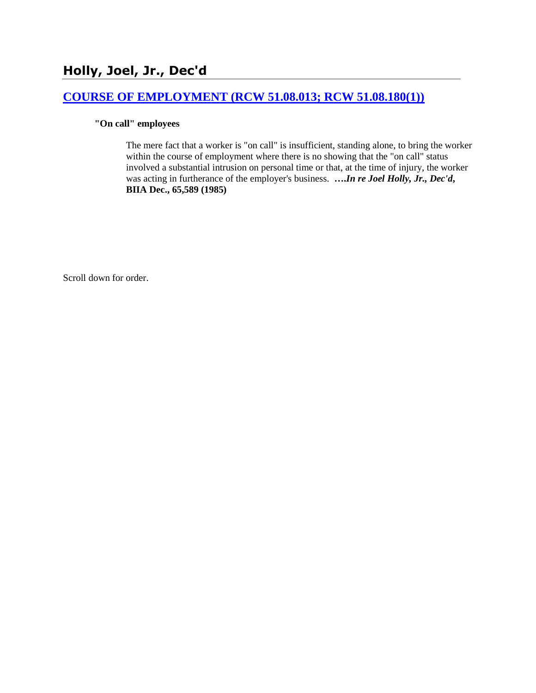# **Holly, Joel, Jr., Dec'd**

## **[COURSE OF EMPLOYMENT \(RCW 51.08.013; RCW 51.08.180\(1\)\)](http://www.biia.wa.gov/SDSubjectIndex.html#COURSE_OF_EMPLOYMENT)**

### **"On call" employees**

The mere fact that a worker is "on call" is insufficient, standing alone, to bring the worker within the course of employment where there is no showing that the "on call" status involved a substantial intrusion on personal time or that, at the time of injury, the worker was acting in furtherance of the employer's business. **….***In re Joel Holly, Jr., Dec'd***, BIIA Dec., 65,589 (1985)** 

Scroll down for order.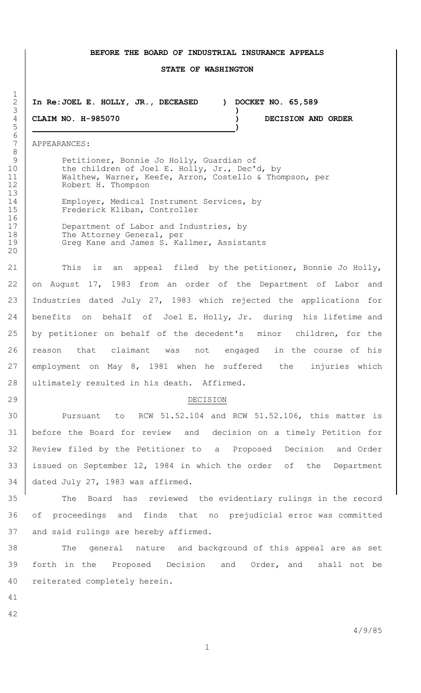#### **BEFORE THE BOARD OF INDUSTRIAL INSURANCE APPEALS**

#### **STATE OF WASHINGTON**

 **In Re:JOEL E. HOLLY, JR., DECEASED ) DOCKET NO. 65,589 )**

 **CLAIM NO. H-985070 ) DECISION AND ORDER )**

APPEARANCES:

 $\frac{1}{2}$ 

6<br>7

8<br>9

Petitioner, Bonnie Jo Holly, Guardian of 10 the children of Joel E. Holly, Jr., Dec'd, by Walthew, Warner, Keefe, Arron, Costello & Thompson, per Robert H. Thompson

14 Employer, Medical Instrument Services, by 15 Frederick Kliban, Controller

17 Department of Labor and Industries, by 18 The Attorney General, per 19 Greg Kane and James S. Kallmer, Assistants

21 This is an appeal filed by the petitioner, Bonnie Jo Holly, on August 17, 1983 from an order of the Department of Labor and Industries dated July 27, 1983 which rejected the applications for 24 | benefits on behalf of Joel E. Holly, Jr. during his lifetime and 25 by petitioner on behalf of the decedent's minor children, for the 26 | reason that claimant was not engaged in the course of his employment on May 8, 1981 when he suffered the injuries which 28 ultimately resulted in his death. Affirmed.

#### DECISION

 Pursuant to RCW 51.52.104 and RCW 51.52.106, this matter is before the Board for review and decision on a timely Petition for Review filed by the Petitioner to a Proposed Decision and Order issued on September 12, 1984 in which the order of the Department dated July 27, 1983 was affirmed.

 The Board has reviewed the evidentiary rulings in the record of proceedings and finds that no prejudicial error was committed and said rulings are hereby affirmed.

 The general nature and background of this appeal are as set forth in the Proposed Decision and Order, and shall not be reiterated completely herein.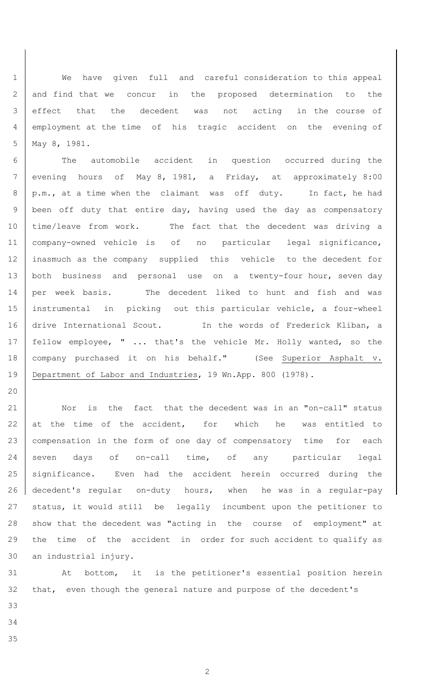We have given full and careful consideration to this appeal and find that we concur in the proposed determination to the effect that the decedent was not acting in the course of employment at the time of his tragic accident on the evening of May 8, 1981.

 The automobile accident in question occurred during the evening hours of May 8, 1981, a Friday, at approximately 8:00 8 | p.m., at a time when the claimant was off duty. In fact, he had 9 | been off duty that entire day, having used the day as compensatory time/leave from work. The fact that the decedent was driving a company-owned vehicle is of no particular legal significance, inasmuch as the company supplied this vehicle to the decedent for 13 both business and personal use on a twenty-four hour, seven day 14 per week basis. The decedent liked to hunt and fish and was instrumental in picking out this particular vehicle, a four-wheel 16 drive International Scout. In the words of Frederick Kliban, a 17 | fellow employee, " ... that's the vehicle Mr. Holly wanted, so the 18 | company purchased it on his behalf." (See Superior Asphalt v. 19 | Department of Labor and Industries, 19 Wn.App. 800 (1978).

21 Nor is the fact that the decedent was in an "on-call" status 22 at the time of the accident, for which he was entitled to 23 | compensation in the form of one day of compensatory time for each 24 seven days of on-call time, of any particular legal 25 significance. Even had the accident herein occurred during the decedent's regular on-duty hours, when he was in a regular-pay status, it would still be legally incumbent upon the petitioner to show that the decedent was "acting in the course of employment" at the time of the accident in order for such accident to qualify as an industrial injury.

 At bottom, it is the petitioner's essential position herein that, even though the general nature and purpose of the decedent's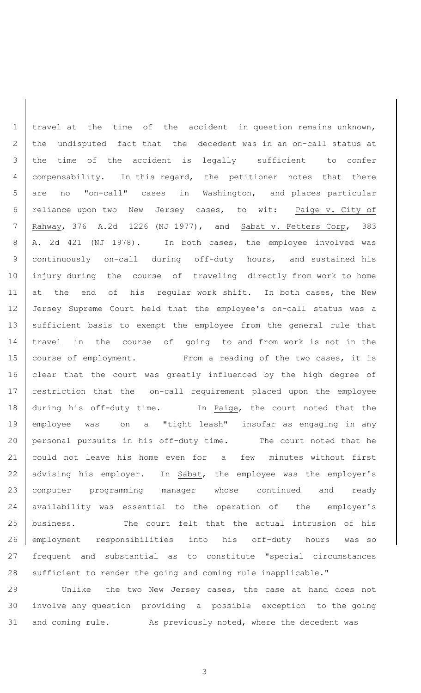1 | travel at the time of the accident in question remains unknown, 2 the undisputed fact that the decedent was in an on-call status at 3 the time of the accident is legally sufficient to confer 4 compensability. In this regard, the petitioner notes that there 5 are no "on-call" cases in Washington, and places particular 6 reliance upon two New Jersey cases, to wit: Paige v. City of 7 Rahway, 376 A.2d 1226 (NJ 1977), and Sabat v. Fetters Corp, 383 8 | A. 2d 421 (NJ 1978). In both cases, the employee involved was 9 continuously on-call during off-duty hours, and sustained his 10 injury during the course of traveling directly from work to home 11 at the end of his regular work shift. In both cases, the New 12 Jersey Supreme Court held that the employee's on-call status was a 13 | sufficient basis to exempt the employee from the general rule that 14 travel in the course of going to and from work is not in the 15 | course of employment. From a reading of the two cases, it is 16 clear that the court was greatly influenced by the high degree of 17 | restriction that the on-call requirement placed upon the employee 18 during his off-duty time. In Paige, the court noted that the 19 employee was on a "tight leash" insofar as engaging in any 20 personal pursuits in his off-duty time. The court noted that he 21 could not leave his home even for a few minutes without first 22 advising his employer. In Sabat, the employee was the employer's 23 computer programming manager whose continued and ready 24 availability was essential to the operation of the employer's 25 business. The court felt that the actual intrusion of his 26 employment responsibilities into his off-duty hours was so 27 frequent and substantial as to constitute "special circumstances 28 sufficient to render the going and coming rule inapplicable."

29 Unlike the two New Jersey cases, the case at hand does not 30 involve any question providing a possible exception to the going 31 and coming rule. As previously noted, where the decedent was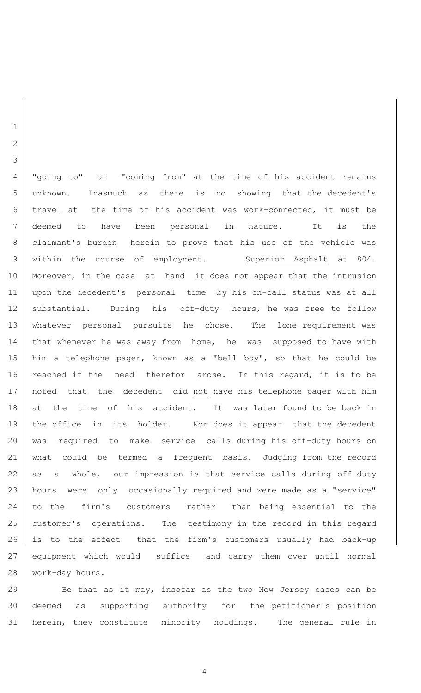"going to" or "coming from" at the time of his accident remains unknown. Inasmuch as there is no showing that the decedent's travel at the time of his accident was work-connected, it must be deemed to have been personal in nature. It is the claimant's burden herein to prove that his use of the vehicle was 9 | within the course of employment. Superior Asphalt at 804. 10 | Moreover, in the case at hand it does not appear that the intrusion upon the decedent's personal time by his on-call status was at all 12 | substantial. During his off-duty hours, he was free to follow whatever personal pursuits he chose. The lone requirement was 14 | that whenever he was away from home, he was supposed to have with 15 | him a telephone pager, known as a "bell boy", so that he could be 16 | reached if the need therefor arose. In this regard, it is to be 17 | noted that the decedent did not have his telephone pager with him at the time of his accident. It was later found to be back in 19 | the office in its holder. Nor does it appear that the decedent was required to make service calls during his off-duty hours on what could be termed a frequent basis. Judging from the record 22  $\vert$  as a whole, our impression is that service calls during off-duty hours were only occasionally required and were made as a "service" 24 to the firm's customers rather than being essential to the 25 customer's operations. The testimony in the record in this regard is to the effect that the firm's customers usually had back-up equipment which would suffice and carry them over until normal work-day hours.

 Be that as it may, insofar as the two New Jersey cases can be deemed as supporting authority for the petitioner's position herein, they constitute minority holdings. The general rule in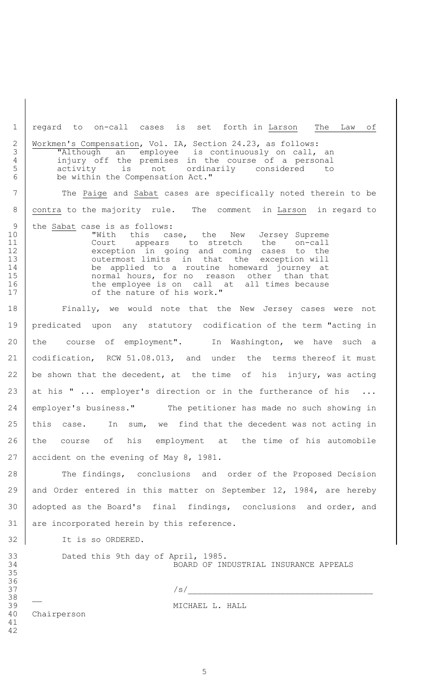1 regard to on-call cases is set forth in Larson The Law of 2 Workmen's Compensation, Vol. IA, Section 24.23, as follows:<br>3 TAlthough an employee is continuously on call,<br>4 injury off the premises in the course of a perso 3 | Talthough an employee is continuously on call, an 4 injury off the premises in the course of a personal 5 activity is not ordinarily considered to 6 be within the Compensation Act." 7 The Paige and Sabat cases are specifically noted therein to be

8 contra to the majority rule. The comment in Larson in regard to

9 the <u>Sabat</u> case is as follows:<br>0 **With** this ca 10 **With this case, the New Jersey Supreme** 11 | Court appears to stretch the on-call 12 exception in going and coming cases to the 13 **13** outermost limits in that the exception will 14 be applied to a routine homeward journey at 15 **15 normal hours, for no reason other** than that 16 the employee is on call at all times because 17 | cf the nature of his work."

18 Finally, we would note that the New Jersey cases were not 19 predicated upon any statutory codification of the term "acting in 20 the course of employment". In Washington, we have such a 21 codification, RCW 51.08.013, and under the terms thereof it must 22 be shown that the decedent, at the time of his injury, was acting 23 at his " ... employer's direction or in the furtherance of his ... 24 employer's business." The petitioner has made no such showing in 25 | this case. In sum, we find that the decedent was not acting in 26 the course of his employment at the time of his automobile 27 accident on the evening of May 8, 1981.

28 The findings, conclusions and order of the Proposed Decision 29 and Order entered in this matter on September 12, 1984, are hereby 30 | adopted as the Board's final findings, conclusions and order, and 31 are incorporated herein by this reference.

32 It is so ORDERED.

33 Dated this 9th day of April, 1985. 34 BOARD OF INDUSTRIAL INSURANCE APPEALS

 $37$ 

39 THE MICHAEL L. HALL

40 Chairperson

41 42

35 36

38 \_\_